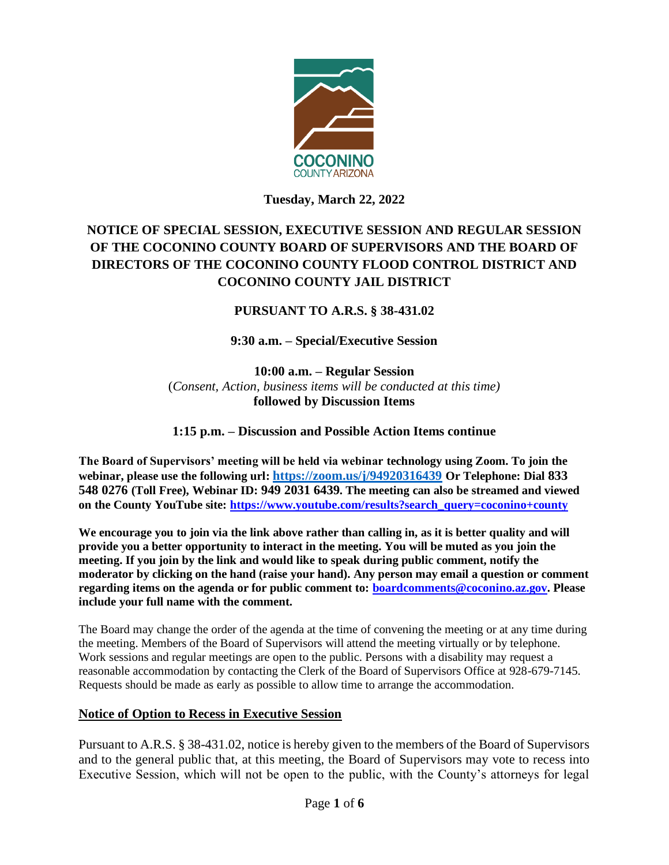

**Tuesday, March 22, 2022**

# **NOTICE OF SPECIAL SESSION, EXECUTIVE SESSION AND REGULAR SESSION OF THE COCONINO COUNTY BOARD OF SUPERVISORS AND THE BOARD OF DIRECTORS OF THE COCONINO COUNTY FLOOD CONTROL DISTRICT AND COCONINO COUNTY JAIL DISTRICT**

## **PURSUANT TO A.R.S. § 38-431.02**

**9:30 a.m. – Special/Executive Session**

**10:00 a.m. – Regular Session**  (*Consent, Action, business items will be conducted at this time)* **followed by Discussion Items** 

**1:15 p.m. – Discussion and Possible Action Items continue**

**The Board of Supervisors' meeting will be held via webinar technology using Zoom. To join the webinar, please use the following url: <https://zoom.us/j/94920316439> Or Telephone: Dial 833 548 0276 (Toll Free), Webinar ID: 949 2031 6439. The meeting can also be streamed and viewed on the County YouTube site: [https://www.youtube.com/results?search\\_query=coconino+county](https://www.youtube.com/results?search_query=coconino+county)**

**We encourage you to join via the link above rather than calling in, as it is better quality and will provide you a better opportunity to interact in the meeting. You will be muted as you join the meeting. If you join by the link and would like to speak during public comment, notify the moderator by clicking on the hand (raise your hand). Any person may email a question or comment regarding items on the agenda or for public comment to: [boardcomments@coconino.az.gov.](mailto:boardcomments@coconino.az.gov) Please include your full name with the comment.** 

The Board may change the order of the agenda at the time of convening the meeting or at any time during the meeting. Members of the Board of Supervisors will attend the meeting virtually or by telephone. Work sessions and regular meetings are open to the public. Persons with a disability may request a reasonable accommodation by contacting the Clerk of the Board of Supervisors Office at 928-679-7145. Requests should be made as early as possible to allow time to arrange the accommodation.

### **Notice of Option to Recess in Executive Session**

Pursuant to A.R.S. § 38-431.02, notice is hereby given to the members of the Board of Supervisors and to the general public that, at this meeting, the Board of Supervisors may vote to recess into Executive Session, which will not be open to the public, with the County's attorneys for legal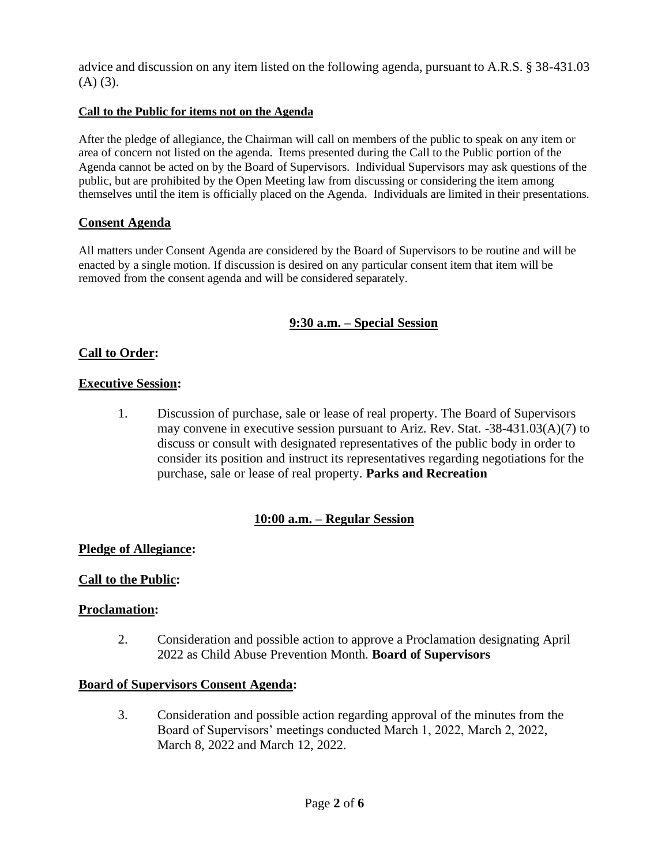advice and discussion on any item listed on the following agenda, pursuant to A.R.S. § 38-431.03  $(A)$   $(3)$ .

### **Call to the Public for items not on the Agenda**

After the pledge of allegiance, the Chairman will call on members of the public to speak on any item or area of concern not listed on the agenda. Items presented during the Call to the Public portion of the Agenda cannot be acted on by the Board of Supervisors. Individual Supervisors may ask questions of the public, but are prohibited by the Open Meeting law from discussing or considering the item among themselves until the item is officially placed on the Agenda. Individuals are limited in their presentations.

### **Consent Agenda**

All matters under Consent Agenda are considered by the Board of Supervisors to be routine and will be enacted by a single motion. If discussion is desired on any particular consent item that item will be removed from the consent agenda and will be considered separately.

### **9:30 a.m. – Special Session**

### **Call to Order:**

### **Executive Session:**

1. Discussion of purchase, sale or lease of real property. The Board of Supervisors may convene in executive session pursuant to Ariz. Rev. Stat. -38-431.03(A)(7) to discuss or consult with designated representatives of the public body in order to consider its position and instruct its representatives regarding negotiations for the purchase, sale or lease of real property. **Parks and Recreation**

### **10:00 a.m. – Regular Session**

### **Pledge of Allegiance:**

### **Call to the Public:**

#### **Proclamation:**

2. Consideration and possible action to approve a Proclamation designating April 2022 as Child Abuse Prevention Month. **Board of Supervisors**

#### **Board of Supervisors Consent Agenda:**

3. Consideration and possible action regarding approval of the minutes from the Board of Supervisors' meetings conducted March 1, 2022, March 2, 2022, March 8, 2022 and March 12, 2022.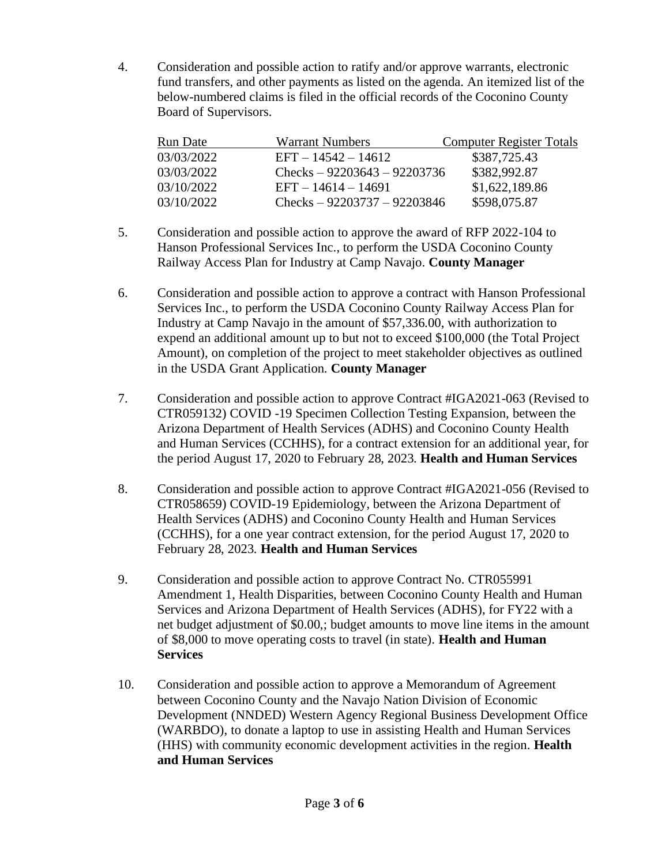4. Consideration and possible action to ratify and/or approve warrants, electronic fund transfers, and other payments as listed on the agenda. An itemized list of the below-numbered claims is filed in the official records of the Coconino County Board of Supervisors.

| Run Date   | <b>Warrant Numbers</b>        | <b>Computer Register Totals</b> |
|------------|-------------------------------|---------------------------------|
| 03/03/2022 | $EFT - 14542 - 14612$         | \$387,725.43                    |
| 03/03/2022 | Checks $-92203643 - 92203736$ | \$382,992.87                    |
| 03/10/2022 | $EFT - 14614 - 14691$         | \$1,622,189.86                  |
| 03/10/2022 | Checks $-92203737 - 92203846$ | \$598,075.87                    |

- 5. Consideration and possible action to approve the award of RFP 2022-104 to Hanson Professional Services Inc., to perform the USDA Coconino County Railway Access Plan for Industry at Camp Navajo. **County Manager**
- 6. Consideration and possible action to approve a contract with Hanson Professional Services Inc., to perform the USDA Coconino County Railway Access Plan for Industry at Camp Navajo in the amount of \$57,336.00, with authorization to expend an additional amount up to but not to exceed \$100,000 (the Total Project Amount), on completion of the project to meet stakeholder objectives as outlined in the USDA Grant Application. **County Manager**
- 7. Consideration and possible action to approve Contract #IGA2021-063 (Revised to CTR059132) COVID -19 Specimen Collection Testing Expansion, between the Arizona Department of Health Services (ADHS) and Coconino County Health and Human Services (CCHHS), for a contract extension for an additional year, for the period August 17, 2020 to February 28, 2023. **Health and Human Services**
- 8. Consideration and possible action to approve Contract #IGA2021-056 (Revised to CTR058659) COVID-19 Epidemiology, between the Arizona Department of Health Services (ADHS) and Coconino County Health and Human Services (CCHHS), for a one year contract extension, for the period August 17, 2020 to February 28, 2023. **Health and Human Services**
- 9. Consideration and possible action to approve Contract No. CTR055991 Amendment 1, Health Disparities, between Coconino County Health and Human Services and Arizona Department of Health Services (ADHS), for FY22 with a net budget adjustment of \$0.00,; budget amounts to move line items in the amount of \$8,000 to move operating costs to travel (in state). **Health and Human Services**
- 10. Consideration and possible action to approve a Memorandum of Agreement between Coconino County and the Navajo Nation Division of Economic Development (NNDED) Western Agency Regional Business Development Office (WARBDO), to donate a laptop to use in assisting Health and Human Services (HHS) with community economic development activities in the region. **Health and Human Services**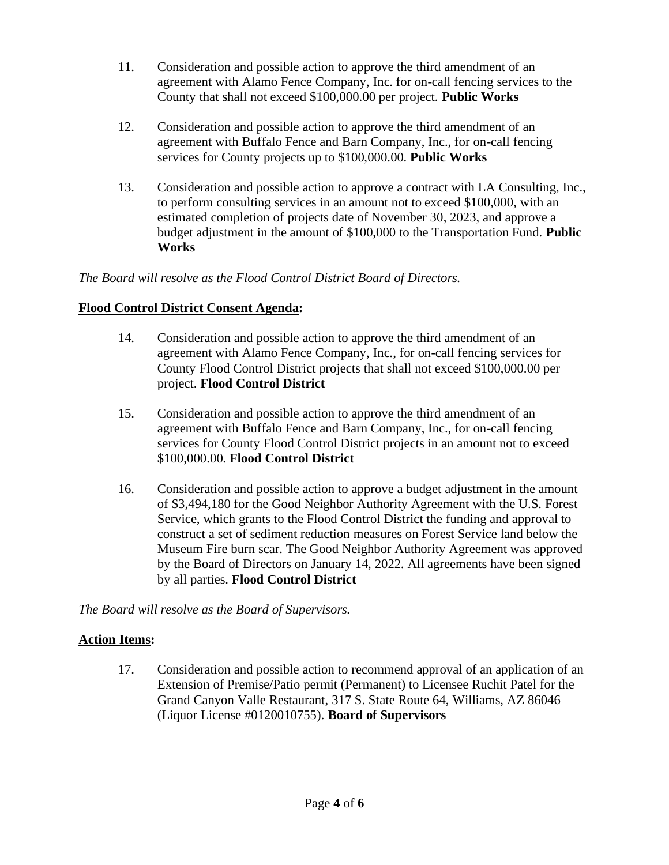- 11. Consideration and possible action to approve the third amendment of an agreement with Alamo Fence Company, Inc. for on-call fencing services to the County that shall not exceed \$100,000.00 per project. **Public Works**
- 12. Consideration and possible action to approve the third amendment of an agreement with Buffalo Fence and Barn Company, Inc., for on-call fencing services for County projects up to \$100,000.00. **Public Works**
- 13. Consideration and possible action to approve a contract with LA Consulting, Inc., to perform consulting services in an amount not to exceed \$100,000, with an estimated completion of projects date of November 30, 2023, and approve a budget adjustment in the amount of \$100,000 to the Transportation Fund. **Public Works**

*The Board will resolve as the Flood Control District Board of Directors.*

### **Flood Control District Consent Agenda:**

- 14. Consideration and possible action to approve the third amendment of an agreement with Alamo Fence Company, Inc., for on-call fencing services for County Flood Control District projects that shall not exceed \$100,000.00 per project. **Flood Control District**
- 15. Consideration and possible action to approve the third amendment of an agreement with Buffalo Fence and Barn Company, Inc., for on-call fencing services for County Flood Control District projects in an amount not to exceed \$100,000.00. **Flood Control District**
- 16. Consideration and possible action to approve a budget adjustment in the amount of \$3,494,180 for the Good Neighbor Authority Agreement with the U.S. Forest Service, which grants to the Flood Control District the funding and approval to construct a set of sediment reduction measures on Forest Service land below the Museum Fire burn scar. The Good Neighbor Authority Agreement was approved by the Board of Directors on January 14, 2022. All agreements have been signed by all parties. **Flood Control District**

*The Board will resolve as the Board of Supervisors.*

## **Action Items:**

17. Consideration and possible action to recommend approval of an application of an Extension of Premise/Patio permit (Permanent) to Licensee Ruchit Patel for the Grand Canyon Valle Restaurant, 317 S. State Route 64, Williams, AZ 86046 (Liquor License #0120010755). **Board of Supervisors**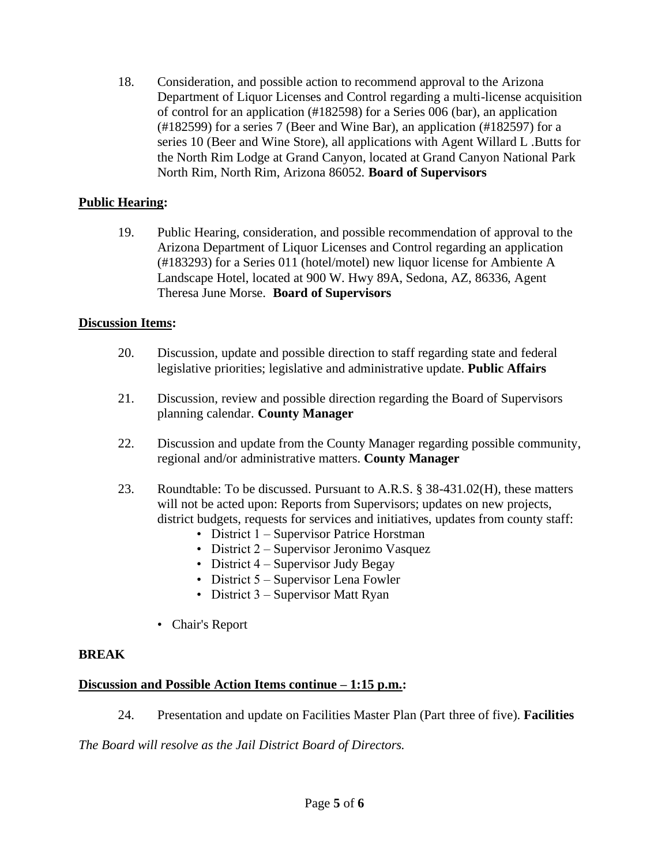18. Consideration, and possible action to recommend approval to the Arizona Department of Liquor Licenses and Control regarding a multi-license acquisition of control for an application (#182598) for a Series 006 (bar), an application (#182599) for a series 7 (Beer and Wine Bar), an application (#182597) for a series 10 (Beer and Wine Store), all applications with Agent Willard L .Butts for the North Rim Lodge at Grand Canyon, located at Grand Canyon National Park North Rim, North Rim, Arizona 86052. **Board of Supervisors**

### **Public Hearing:**

19. Public Hearing, consideration, and possible recommendation of approval to the Arizona Department of Liquor Licenses and Control regarding an application (#183293) for a Series 011 (hotel/motel) new liquor license for Ambiente A Landscape Hotel, located at 900 W. Hwy 89A, Sedona, AZ, 86336, Agent Theresa June Morse. **Board of Supervisors**

### **Discussion Items:**

- 20. Discussion, update and possible direction to staff regarding state and federal legislative priorities; legislative and administrative update. **Public Affairs**
- 21. Discussion, review and possible direction regarding the Board of Supervisors planning calendar. **County Manager**
- 22. Discussion and update from the County Manager regarding possible community, regional and/or administrative matters. **County Manager**
- 23. Roundtable: To be discussed. Pursuant to A.R.S. § 38-431.02(H), these matters will not be acted upon: Reports from Supervisors; updates on new projects, district budgets, requests for services and initiatives, updates from county staff:
	- District 1 Supervisor Patrice Horstman
	- District 2 Supervisor Jeronimo Vasquez
	- District 4 Supervisor Judy Begay
	- District 5 Supervisor Lena Fowler
	- District 3 Supervisor Matt Ryan
	- Chair's Report

### **BREAK**

### **Discussion and Possible Action Items continue – 1:15 p.m.:**

24. Presentation and update on Facilities Master Plan (Part three of five). **Facilities**

*The Board will resolve as the Jail District Board of Directors.*